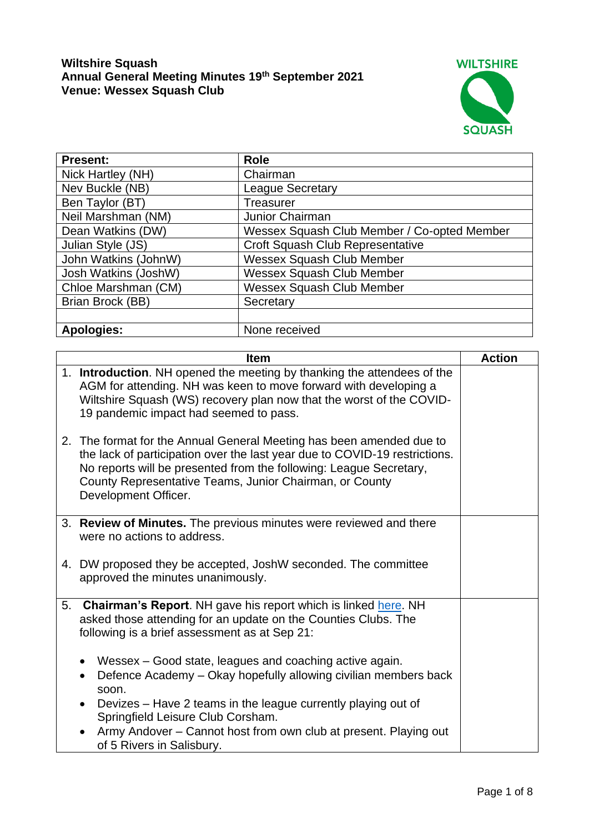

| <b>Present:</b>      | Role                                        |
|----------------------|---------------------------------------------|
| Nick Hartley (NH)    | Chairman                                    |
| Nev Buckle (NB)      | <b>League Secretary</b>                     |
| Ben Taylor (BT)      | Treasurer                                   |
| Neil Marshman (NM)   | Junior Chairman                             |
| Dean Watkins (DW)    | Wessex Squash Club Member / Co-opted Member |
| Julian Style (JS)    | Croft Squash Club Representative            |
| John Watkins (JohnW) | <b>Wessex Squash Club Member</b>            |
| Josh Watkins (JoshW) | <b>Wessex Squash Club Member</b>            |
| Chloe Marshman (CM)  | <b>Wessex Squash Club Member</b>            |
| Brian Brock (BB)     | Secretary                                   |
|                      |                                             |
| <b>Apologies:</b>    | None received                               |

|    | <b>Item</b>                                                                                                                                                                                                                                                                                                 | <b>Action</b> |
|----|-------------------------------------------------------------------------------------------------------------------------------------------------------------------------------------------------------------------------------------------------------------------------------------------------------------|---------------|
|    | 1. Introduction. NH opened the meeting by thanking the attendees of the<br>AGM for attending. NH was keen to move forward with developing a<br>Wiltshire Squash (WS) recovery plan now that the worst of the COVID-<br>19 pandemic impact had seemed to pass.                                               |               |
|    | 2. The format for the Annual General Meeting has been amended due to<br>the lack of participation over the last year due to COVID-19 restrictions.<br>No reports will be presented from the following: League Secretary,<br>County Representative Teams, Junior Chairman, or County<br>Development Officer. |               |
|    | 3. Review of Minutes. The previous minutes were reviewed and there<br>were no actions to address.                                                                                                                                                                                                           |               |
|    | 4. DW proposed they be accepted, JoshW seconded. The committee<br>approved the minutes unanimously.                                                                                                                                                                                                         |               |
| 5. | <b>Chairman's Report.</b> NH gave his report which is linked here. NH<br>asked those attending for an update on the Counties Clubs. The<br>following is a brief assessment as at Sep 21:                                                                                                                    |               |
|    | Wessex – Good state, leagues and coaching active again.<br>٠<br>Defence Academy – Okay hopefully allowing civilian members back<br>$\bullet$<br>soon.                                                                                                                                                       |               |
|    | Devizes - Have 2 teams in the league currently playing out of<br>$\bullet$<br>Springfield Leisure Club Corsham.                                                                                                                                                                                             |               |
|    | Army Andover – Cannot host from own club at present. Playing out<br>of 5 Rivers in Salisbury.                                                                                                                                                                                                               |               |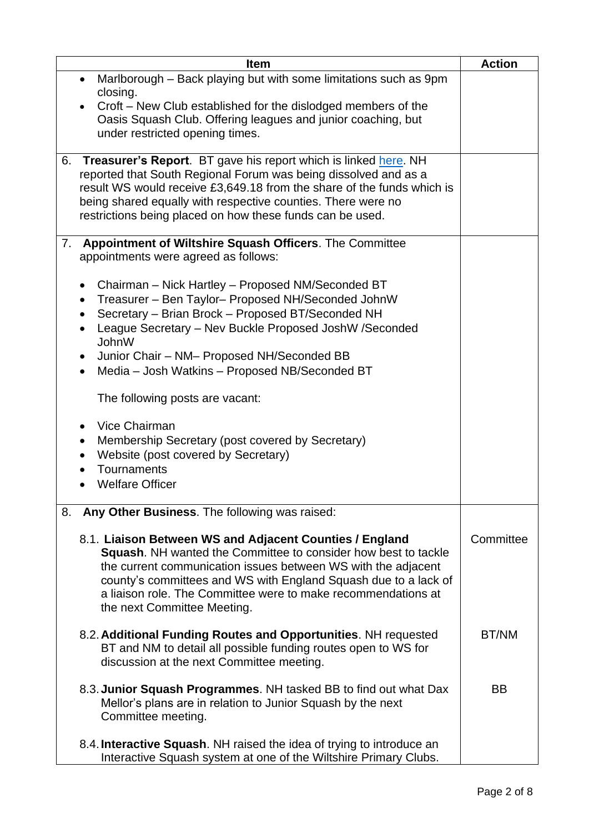|                                                                                                                              | <b>Item</b>                                                                                                                                                                                                                                                                                                                                      | <b>Action</b> |
|------------------------------------------------------------------------------------------------------------------------------|--------------------------------------------------------------------------------------------------------------------------------------------------------------------------------------------------------------------------------------------------------------------------------------------------------------------------------------------------|---------------|
| $\bullet$<br>closing.                                                                                                        | Marlborough - Back playing but with some limitations such as 9pm                                                                                                                                                                                                                                                                                 |               |
| under restricted opening times.                                                                                              | Croft – New Club established for the dislodged members of the<br>Oasis Squash Club. Offering leagues and junior coaching, but                                                                                                                                                                                                                    |               |
| 6.                                                                                                                           | <b>Treasurer's Report.</b> BT gave his report which is linked here. NH<br>reported that South Regional Forum was being dissolved and as a<br>result WS would receive £3,649.18 from the share of the funds which is<br>being shared equally with respective counties. There were no<br>restrictions being placed on how these funds can be used. |               |
| 7.<br>appointments were agreed as follows:                                                                                   | Appointment of Wiltshire Squash Officers. The Committee                                                                                                                                                                                                                                                                                          |               |
| $\bullet$<br>$\bullet$<br>$\bullet$<br>$\bullet$<br>JohnW<br>$\bullet$<br>$\bullet$                                          | Chairman - Nick Hartley - Proposed NM/Seconded BT<br>Treasurer - Ben Taylor- Proposed NH/Seconded JohnW<br>Secretary - Brian Brock - Proposed BT/Seconded NH<br>League Secretary - Nev Buckle Proposed JoshW /Seconded<br>Junior Chair - NM- Proposed NH/Seconded BB<br>Media - Josh Watkins - Proposed NB/Seconded BT                           |               |
| The following posts are vacant:                                                                                              |                                                                                                                                                                                                                                                                                                                                                  |               |
| Vice Chairman<br>$\bullet$<br>٠<br>Website (post covered by Secretary)<br>$\bullet$<br>Tournaments<br><b>Welfare Officer</b> | Membership Secretary (post covered by Secretary)                                                                                                                                                                                                                                                                                                 |               |
| 8.                                                                                                                           | Any Other Business. The following was raised:                                                                                                                                                                                                                                                                                                    |               |
| the next Committee Meeting.                                                                                                  | 8.1. Liaison Between WS and Adjacent Counties / England<br>Squash. NH wanted the Committee to consider how best to tackle<br>the current communication issues between WS with the adjacent<br>county's committees and WS with England Squash due to a lack of<br>a liaison role. The Committee were to make recommendations at                   | Committee     |
|                                                                                                                              | 8.2. Additional Funding Routes and Opportunities. NH requested<br>BT and NM to detail all possible funding routes open to WS for<br>discussion at the next Committee meeting.                                                                                                                                                                    | BT/NM         |
| Committee meeting.                                                                                                           | 8.3. Junior Squash Programmes. NH tasked BB to find out what Dax<br>Mellor's plans are in relation to Junior Squash by the next                                                                                                                                                                                                                  | <b>BB</b>     |
|                                                                                                                              | 8.4. Interactive Squash. NH raised the idea of trying to introduce an<br>Interactive Squash system at one of the Wiltshire Primary Clubs.                                                                                                                                                                                                        |               |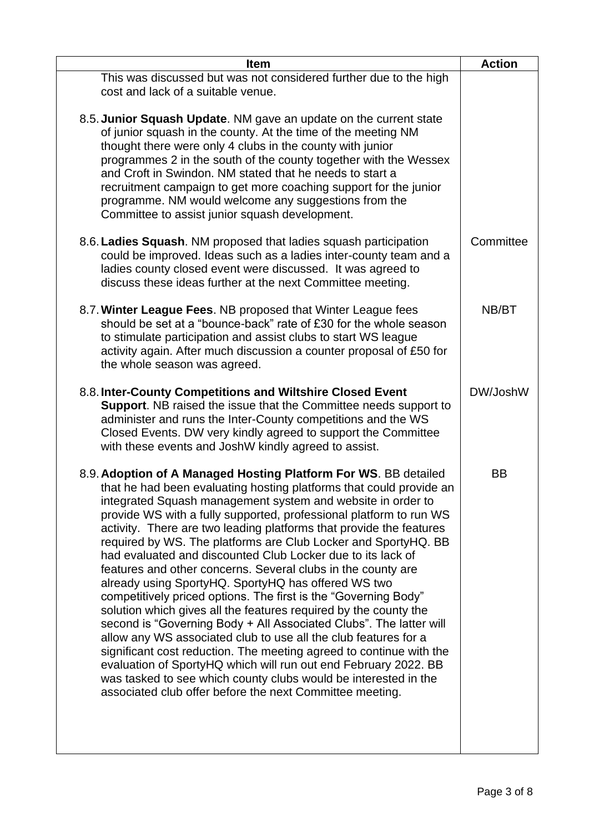| <b>Item</b>                                                                                                                                                                                                                                                                                                                                                                                                                                                                                                                                                                                                                                                                                                                                                                                                                                                                                                                                                                                                                                                                                                                                                         | <b>Action</b> |
|---------------------------------------------------------------------------------------------------------------------------------------------------------------------------------------------------------------------------------------------------------------------------------------------------------------------------------------------------------------------------------------------------------------------------------------------------------------------------------------------------------------------------------------------------------------------------------------------------------------------------------------------------------------------------------------------------------------------------------------------------------------------------------------------------------------------------------------------------------------------------------------------------------------------------------------------------------------------------------------------------------------------------------------------------------------------------------------------------------------------------------------------------------------------|---------------|
| This was discussed but was not considered further due to the high<br>cost and lack of a suitable venue.                                                                                                                                                                                                                                                                                                                                                                                                                                                                                                                                                                                                                                                                                                                                                                                                                                                                                                                                                                                                                                                             |               |
| 8.5. Junior Squash Update. NM gave an update on the current state<br>of junior squash in the county. At the time of the meeting NM<br>thought there were only 4 clubs in the county with junior<br>programmes 2 in the south of the county together with the Wessex<br>and Croft in Swindon. NM stated that he needs to start a<br>recruitment campaign to get more coaching support for the junior<br>programme. NM would welcome any suggestions from the<br>Committee to assist junior squash development.                                                                                                                                                                                                                                                                                                                                                                                                                                                                                                                                                                                                                                                       |               |
| 8.6. Ladies Squash. NM proposed that ladies squash participation<br>could be improved. Ideas such as a ladies inter-county team and a<br>ladies county closed event were discussed. It was agreed to<br>discuss these ideas further at the next Committee meeting.                                                                                                                                                                                                                                                                                                                                                                                                                                                                                                                                                                                                                                                                                                                                                                                                                                                                                                  | Committee     |
| 8.7. Winter League Fees. NB proposed that Winter League fees<br>should be set at a "bounce-back" rate of £30 for the whole season<br>to stimulate participation and assist clubs to start WS league<br>activity again. After much discussion a counter proposal of £50 for<br>the whole season was agreed.                                                                                                                                                                                                                                                                                                                                                                                                                                                                                                                                                                                                                                                                                                                                                                                                                                                          | NB/BT         |
| 8.8. Inter-County Competitions and Wiltshire Closed Event<br>Support. NB raised the issue that the Committee needs support to<br>administer and runs the Inter-County competitions and the WS<br>Closed Events. DW very kindly agreed to support the Committee<br>with these events and JoshW kindly agreed to assist.                                                                                                                                                                                                                                                                                                                                                                                                                                                                                                                                                                                                                                                                                                                                                                                                                                              | DW/JoshW      |
| 8.9. Adoption of A Managed Hosting Platform For WS. BB detailed<br>that he had been evaluating hosting platforms that could provide an<br>integrated Squash management system and website in order to<br>provide WS with a fully supported, professional platform to run WS<br>activity. There are two leading platforms that provide the features<br>required by WS. The platforms are Club Locker and SportyHQ. BB<br>had evaluated and discounted Club Locker due to its lack of<br>features and other concerns. Several clubs in the county are<br>already using SportyHQ. SportyHQ has offered WS two<br>competitively priced options. The first is the "Governing Body"<br>solution which gives all the features required by the county the<br>second is "Governing Body + All Associated Clubs". The latter will<br>allow any WS associated club to use all the club features for a<br>significant cost reduction. The meeting agreed to continue with the<br>evaluation of SportyHQ which will run out end February 2022. BB<br>was tasked to see which county clubs would be interested in the<br>associated club offer before the next Committee meeting. | <b>BB</b>     |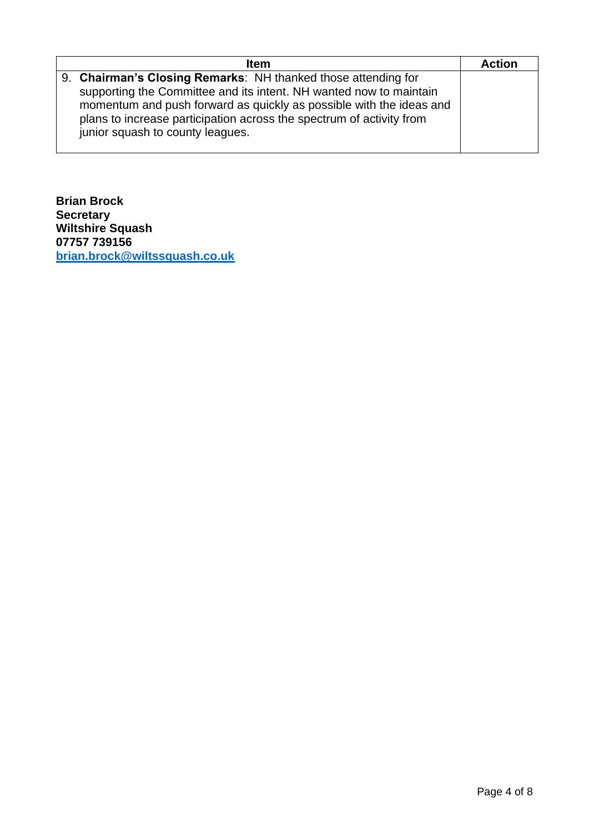| <b>Item</b>                                                                                                                                 | <b>Action</b> |
|---------------------------------------------------------------------------------------------------------------------------------------------|---------------|
| 9. Chairman's Closing Remarks: NH thanked those attending for                                                                               |               |
| supporting the Committee and its intent. NH wanted now to maintain                                                                          |               |
| momentum and push forward as quickly as possible with the ideas and<br>plans to increase participation across the spectrum of activity from |               |
| junior squash to county leagues.                                                                                                            |               |
|                                                                                                                                             |               |

**Brian Brock Secretary Wiltshire Squash 07757 739156 [brian.brock@wiltssquash.co.uk](mailto:brian.brock@wiltssquash.co.uk)**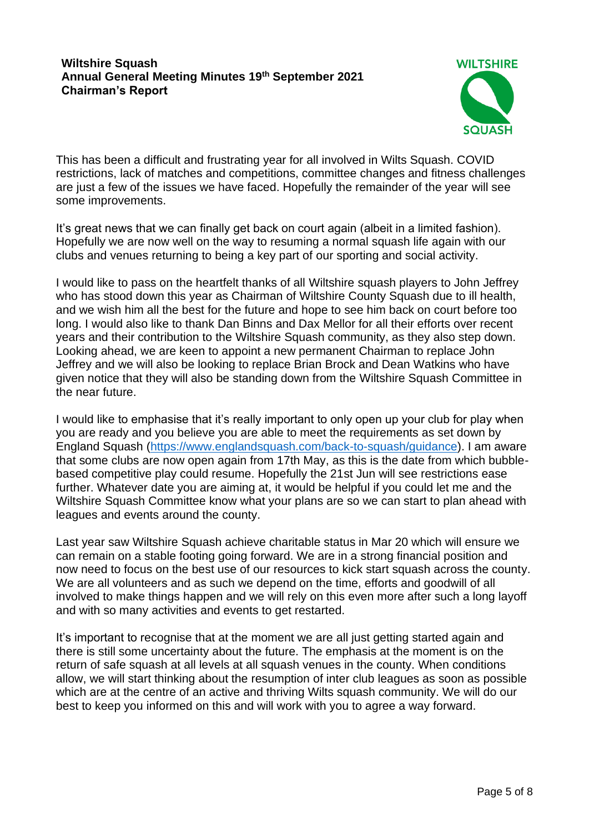## <span id="page-4-0"></span>**Wiltshire Squash Annual General Meeting Minutes 19th September 2021 Chairman's Report**



This has been a difficult and frustrating year for all involved in Wilts Squash. COVID restrictions, lack of matches and competitions, committee changes and fitness challenges are just a few of the issues we have faced. Hopefully the remainder of the year will see some improvements.

It's great news that we can finally get back on court again (albeit in a limited fashion). Hopefully we are now well on the way to resuming a normal squash life again with our clubs and venues returning to being a key part of our sporting and social activity.

I would like to pass on the heartfelt thanks of all Wiltshire squash players to John Jeffrey who has stood down this year as Chairman of Wiltshire County Squash due to ill health, and we wish him all the best for the future and hope to see him back on court before too long. I would also like to thank Dan Binns and Dax Mellor for all their efforts over recent years and their contribution to the Wiltshire Squash community, as they also step down. Looking ahead, we are keen to appoint a new permanent Chairman to replace John Jeffrey and we will also be looking to replace Brian Brock and Dean Watkins who have given notice that they will also be standing down from the Wiltshire Squash Committee in the near future.

I would like to emphasise that it's really important to only open up your club for play when you are ready and you believe you are able to meet the requirements as set down by England Squash [\(https://www.englandsquash.com/back-to-squash/guidance\)](https://www.englandsquash.com/back-to-squash/guidance). I am aware that some clubs are now open again from 17th May, as this is the date from which bubblebased competitive play could resume. Hopefully the 21st Jun will see restrictions ease further. Whatever date you are aiming at, it would be helpful if you could let me and the Wiltshire Squash Committee know what your plans are so we can start to plan ahead with leagues and events around the county.

Last year saw Wiltshire Squash achieve charitable status in Mar 20 which will ensure we can remain on a stable footing going forward. We are in a strong financial position and now need to focus on the best use of our resources to kick start squash across the county. We are all volunteers and as such we depend on the time, efforts and goodwill of all involved to make things happen and we will rely on this even more after such a long layoff and with so many activities and events to get restarted.

It's important to recognise that at the moment we are all just getting started again and there is still some uncertainty about the future. The emphasis at the moment is on the return of safe squash at all levels at all squash venues in the county. When conditions allow, we will start thinking about the resumption of inter club leagues as soon as possible which are at the centre of an active and thriving Wilts squash community. We will do our best to keep you informed on this and will work with you to agree a way forward.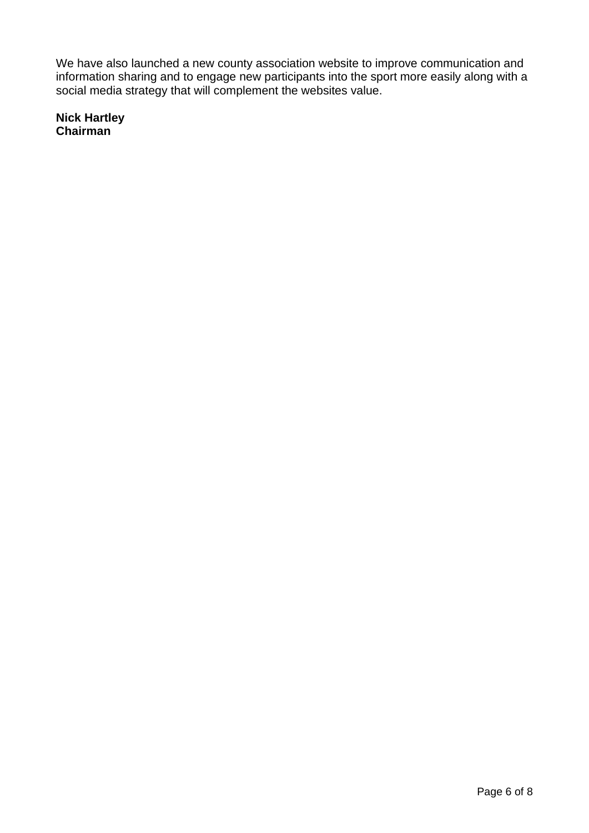We have also launched a new county association website to improve communication and information sharing and to engage new participants into the sport more easily along with a social media strategy that will complement the websites value.

**Nick Hartley Chairman**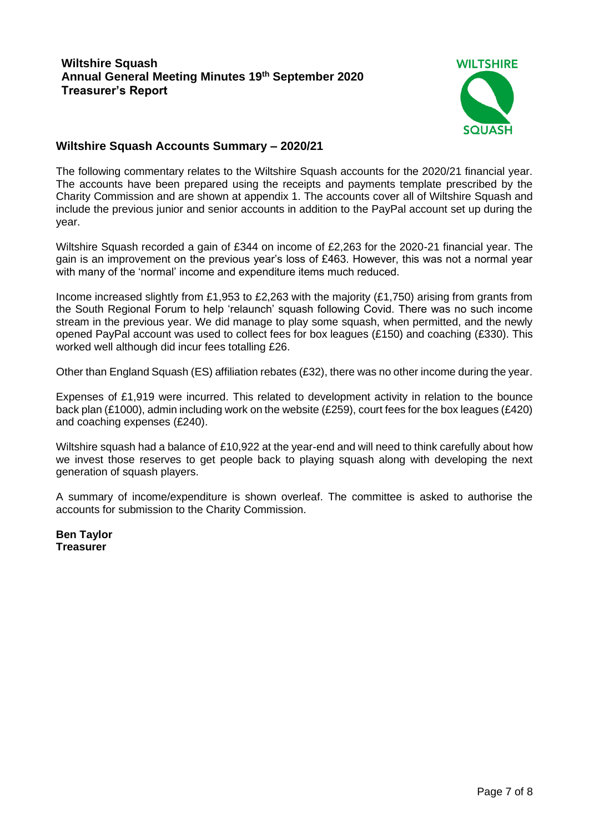## <span id="page-6-0"></span>**Wiltshire Squash Annual General Meeting Minutes 19th September 2020 Treasurer's Report**



## **Wiltshire Squash Accounts Summary – 2020/21**

The following commentary relates to the Wiltshire Squash accounts for the 2020/21 financial year. The accounts have been prepared using the receipts and payments template prescribed by the Charity Commission and are shown at appendix 1. The accounts cover all of Wiltshire Squash and include the previous junior and senior accounts in addition to the PayPal account set up during the year.

Wiltshire Squash recorded a gain of £344 on income of £2,263 for the 2020-21 financial year. The gain is an improvement on the previous year's loss of £463. However, this was not a normal year with many of the 'normal' income and expenditure items much reduced.

Income increased slightly from £1,953 to £2,263 with the majority (£1,750) arising from grants from the South Regional Forum to help 'relaunch' squash following Covid. There was no such income stream in the previous year. We did manage to play some squash, when permitted, and the newly opened PayPal account was used to collect fees for box leagues (£150) and coaching (£330). This worked well although did incur fees totalling £26.

Other than England Squash (ES) affiliation rebates (£32), there was no other income during the year.

Expenses of £1,919 were incurred. This related to development activity in relation to the bounce back plan (£1000), admin including work on the website (£259), court fees for the box leagues (£420) and coaching expenses (£240).

Wiltshire squash had a balance of £10,922 at the year-end and will need to think carefully about how we invest those reserves to get people back to playing squash along with developing the next generation of squash players.

A summary of income/expenditure is shown overleaf. The committee is asked to authorise the accounts for submission to the Charity Commission.

**Ben Taylor Treasurer**